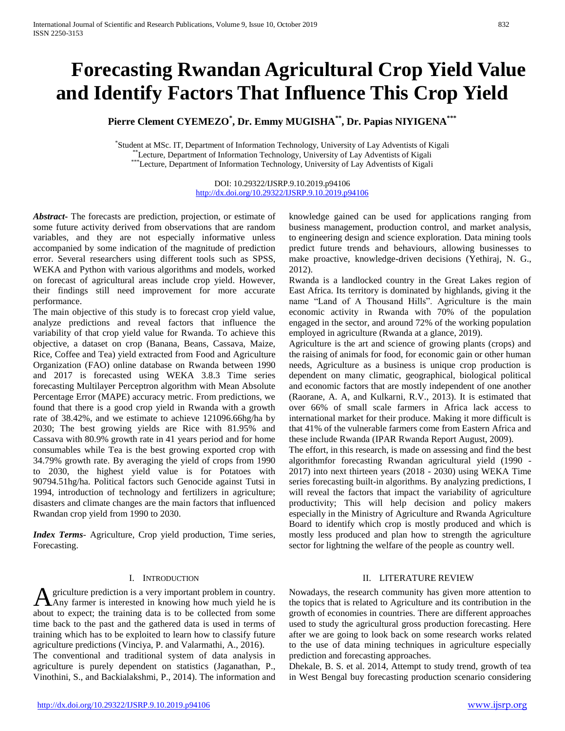# **Forecasting Rwandan Agricultural Crop Yield Value and Identify Factors That Influence This Crop Yield**

**Pierre Clement CYEMEZO\* , Dr. Emmy MUGISHA\*\*, Dr. Papias NIYIGENA\*\*\***

\* Student at MSc. IT, Department of Information Technology, University of Lay Adventists of Kigali <sup>\*</sup>Lecture, Department of Information Technology, University of Lay Adventists of Kigali Ecture, Department of Information Technology, University of Lay Adventists of Kigali

> DOI: 10.29322/IJSRP.9.10.2019.p94106 <http://dx.doi.org/10.29322/IJSRP.9.10.2019.p94106>

*Abstract***-** The forecasts are prediction, projection, or estimate of some future activity derived from observations that are random variables, and they are not especially informative unless accompanied by some indication of the magnitude of prediction error. Several researchers using different tools such as SPSS, WEKA and Python with various algorithms and models, worked on forecast of agricultural areas include crop yield. However, their findings still need improvement for more accurate performance.

The main objective of this study is to forecast crop yield value, analyze predictions and reveal factors that influence the variability of that crop yield value for Rwanda. To achieve this objective, a dataset on crop (Banana, Beans, Cassava, Maize, Rice, Coffee and Tea) yield extracted from Food and Agriculture Organization (FAO) online database on Rwanda between 1990 and 2017 is forecasted using WEKA 3.8.3 Time series forecasting Multilayer Perceptron algorithm with Mean Absolute Percentage Error (MAPE) accuracy metric. From predictions, we found that there is a good crop yield in Rwanda with a growth rate of 38.42%, and we estimate to achieve 121096.66hg/ha by 2030; The best growing yields are Rice with 81.95% and Cassava with 80.9% growth rate in 41 years period and for home consumables while Tea is the best growing exported crop with 34.79% growth rate. By averaging the yield of crops from 1990 to 2030, the highest yield value is for Potatoes with 90794.51hg/ha. Political factors such Genocide against Tutsi in 1994, introduction of technology and fertilizers in agriculture; disasters and climate changes are the main factors that influenced Rwandan crop yield from 1990 to 2030.

*Index Terms*- Agriculture, Crop yield production, Time series, Forecasting.

#### I. INTRODUCTION

griculture prediction is a very important problem in country. A griculture prediction is a very important problem in country.<br>Any farmer is interested in knowing how much yield he is about to expect; the training data is to be collected from some time back to the past and the gathered data is used in terms of training which has to be exploited to learn how to classify future agriculture predictions (Vinciya, P. and Valarmathi, A., 2016).

The conventional and traditional system of data analysis in agriculture is purely dependent on statistics (Jaganathan, P., Vinothini, S., and Backialakshmi, P., 2014). The information and knowledge gained can be used for applications ranging from business management, production control, and market analysis, to engineering design and science exploration. Data mining tools predict future trends and behaviours, allowing businesses to make proactive, knowledge-driven decisions (Yethiraj, N. G., 2012).

Rwanda is a landlocked country in the Great Lakes region of East Africa. Its territory is dominated by highlands, giving it the name "Land of A Thousand Hills". Agriculture is the main economic activity in Rwanda with 70% of the population engaged in the sector, and around 72% of the working population employed in agriculture (Rwanda at a glance, 2019).

Agriculture is the art and science of growing plants (crops) and the raising of animals for food, for economic gain or other human needs, Agriculture as a business is unique crop production is dependent on many climatic, geographical, biological political and economic factors that are mostly independent of one another (Raorane, A. A, and Kulkarni, R.V., 2013). It is estimated that over 66% of small scale farmers in Africa lack access to international market for their produce. Making it more difficult is that 41% of the vulnerable farmers come from Eastern Africa and these include Rwanda (IPAR Rwanda Report August, 2009).

The effort, in this research, is made on assessing and find the best algorithmfor forecasting Rwandan agricultural yield (1990 - 2017) into next thirteen years (2018 - 2030) using WEKA Time series forecasting built-in algorithms. By analyzing predictions, I will reveal the factors that impact the variability of agriculture productivity; This will help decision and policy makers especially in the Ministry of Agriculture and Rwanda Agriculture Board to identify which crop is mostly produced and which is mostly less produced and plan how to strength the agriculture sector for lightning the welfare of the people as country well.

## II. LITERATURE REVIEW

Nowadays, the research community has given more attention to the topics that is related to Agriculture and its contribution in the growth of economies in countries. There are different approaches used to study the agricultural gross production forecasting. Here after we are going to look back on some research works related to the use of data mining techniques in agriculture especially prediction and forecasting approaches.

Dhekale, B. S. et al. 2014, Attempt to study trend, growth of tea in West Bengal buy forecasting production scenario considering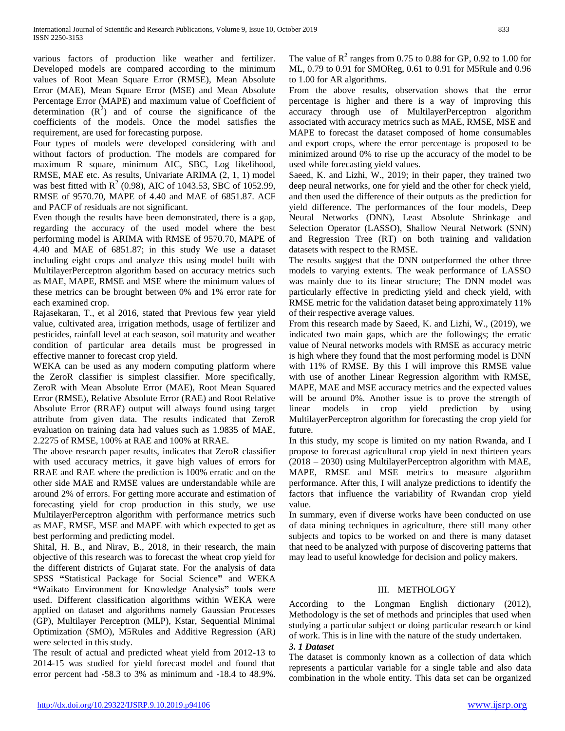various factors of production like weather and fertilizer. Developed models are compared according to the minimum values of Root Mean Square Error (RMSE), Mean Absolute Error (MAE), Mean Square Error (MSE) and Mean Absolute Percentage Error (MAPE) and maximum value of Coefficient of determination  $(R^2)$  and of course the significance of the coefficients of the models. Once the model satisfies the requirement, are used for forecasting purpose.

Four types of models were developed considering with and without factors of production. The models are compared for maximum R square, minimum AIC, SBC, Log likelihood, RMSE, MAE etc. As results, Univariate ARIMA (2, 1, 1) model was best fitted with  $R^2$  (0.98), AIC of 1043.53, SBC of 1052.99, RMSE of 9570.70, MAPE of 4.40 and MAE of 6851.87. ACF and PACF of residuals are not significant.

Even though the results have been demonstrated, there is a gap, regarding the accuracy of the used model where the best performing model is ARIMA with RMSE of 9570.70, MAPE of 4.40 and MAE of 6851.87; in this study We use a dataset including eight crops and analyze this using model built with MultilayerPerceptron algorithm based on accuracy metrics such as MAE, MAPE, RMSE and MSE where the minimum values of these metrics can be brought between 0% and 1% error rate for each examined crop.

Rajasekaran, T., et al 2016, stated that Previous few year yield value, cultivated area, irrigation methods, usage of fertilizer and pesticides, rainfall level at each season, soil maturity and weather condition of particular area details must be progressed in effective manner to forecast crop yield.

WEKA can be used as any modern computing platform where the ZeroR classifier is simplest classifier. More specifically, ZeroR with Mean Absolute Error (MAE), Root Mean Squared Error (RMSE), Relative Absolute Error (RAE) and Root Relative Absolute Error (RRAE) output will always found using target attribute from given data. The results indicated that ZeroR evaluation on training data had values such as 1.9835 of MAE, 2.2275 of RMSE, 100% at RAE and 100% at RRAE.

The above research paper results, indicates that ZeroR classifier with used accuracy metrics, it gave high values of errors for RRAE and RAE where the prediction is 100% erratic and on the other side MAE and RMSE values are understandable while are around 2% of errors. For getting more accurate and estimation of forecasting yield for crop production in this study, we use MultilayerPerceptron algorithm with performance metrics such as MAE, RMSE, MSE and MAPE with which expected to get as best performing and predicting model.

Shital, H. B., and Nirav, B., 2018, in their research, the main objective of this research was to forecast the wheat crop yield for the different districts of Gujarat state. For the analysis of data SPSS **"**Statistical Package for Social Science**"** and WEKA **"**Waikato Environment for Knowledge Analysis**"** tool**s** were used. Different classification algorithms within WEKA were applied on dataset and algorithms namely Gaussian Processes (GP), Multilayer Perceptron (MLP), Kstar, Sequential Minimal Optimization (SMO), M5Rules and Additive Regression (AR) were selected in this study.

The result of actual and predicted wheat yield from 2012-13 to 2014-15 was studied for yield forecast model and found that error percent had -58.3 to 3% as minimum and -18.4 to 48.9%.

The value of  $R^2$  ranges from 0.75 to 0.88 for GP, 0.92 to 1.00 for ML, 0.79 to 0.91 for SMOReg, 0.61 to 0.91 for M5Rule and 0.96 to 1.00 for AR algorithms.

From the above results, observation shows that the error percentage is higher and there is a way of improving this accuracy through use of MultilayerPerceptron algorithm associated with accuracy metrics such as MAE, RMSE, MSE and MAPE to forecast the dataset composed of home consumables and export crops, where the error percentage is proposed to be minimized around 0% to rise up the accuracy of the model to be used while forecasting yield values.

Saeed, K. and Lizhi, W., 2019; in their paper, they trained two deep neural networks, one for yield and the other for check yield, and then used the difference of their outputs as the prediction for yield difference. The performances of the four models, Deep Neural Networks (DNN), Least Absolute Shrinkage and Selection Operator (LASSO), Shallow Neural Network (SNN) and Regression Tree (RT) on both training and validation datasets with respect to the RMSE.

The results suggest that the DNN outperformed the other three models to varying extents. The weak performance of LASSO was mainly due to its linear structure; The DNN model was particularly effective in predicting yield and check yield, with RMSE metric for the validation dataset being approximately 11% of their respective average values.

From this research made by Saeed, K. and Lizhi, W., (2019), we indicated two main gaps, which are the followings; the erratic value of Neural networks models with RMSE as accuracy metric is high where they found that the most performing model is DNN with 11% of RMSE. By this I will improve this RMSE value with use of another Linear Regression algorithm with RMSE, MAPE, MAE and MSE accuracy metrics and the expected values will be around 0%. Another issue is to prove the strength of linear models in crop yield prediction by using MultilayerPerceptron algorithm for forecasting the crop yield for future.

In this study, my scope is limited on my nation Rwanda, and I propose to forecast agricultural crop yield in next thirteen years (2018 – 2030) using MultilayerPerceptron algorithm with MAE, MAPE, RMSE and MSE metrics to measure algorithm performance. After this, I will analyze predictions to identify the factors that influence the variability of Rwandan crop yield value.

In summary, even if diverse works have been conducted on use of data mining techniques in agriculture, there still many other subjects and topics to be worked on and there is many dataset that need to be analyzed with purpose of discovering patterns that may lead to useful knowledge for decision and policy makers.

## III. METHOLOGY

According to the Longman English dictionary (2012), Methodology is the set of methods and principles that used when studying a particular subject or doing particular research or kind of work. This is in line with the nature of the study undertaken.

#### *3. 1 Dataset*

The dataset is commonly known as a collection of data which represents a particular variable for a single table and also data combination in the whole entity. This data set can be organized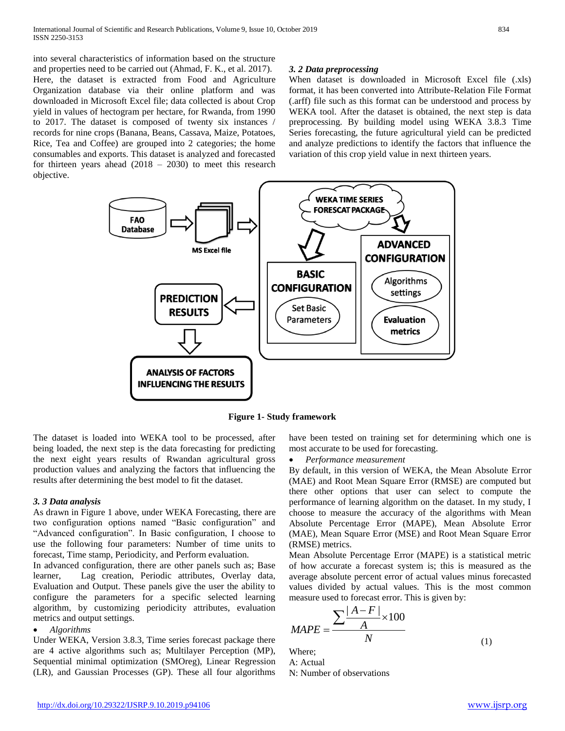into several characteristics of information based on the structure and properties need to be carried out (Ahmad, F. K., et al. 2017). Here, the dataset is extracted from Food and Agriculture Organization database via their online platform and was downloaded in Microsoft Excel file; data collected is about Crop yield in values of hectogram per hectare, for Rwanda, from 1990 to 2017. The dataset is composed of twenty six instances / records for nine crops (Banana, Beans, Cassava, Maize, Potatoes, Rice, Tea and Coffee) are grouped into 2 categories; the home consumables and exports. This dataset is analyzed and forecasted for thirteen years ahead (2018 – 2030) to meet this research objective.

#### *3. 2 Data preprocessing*

When dataset is downloaded in Microsoft Excel file (.xls) format, it has been converted into Attribute-Relation File Format (.arff) file such as this format can be understood and process by WEKA tool. After the dataset is obtained, the next step is data preprocessing. By building model using WEKA 3.8.3 Time Series forecasting, the future agricultural yield can be predicted and analyze predictions to identify the factors that influence the variation of this crop yield value in next thirteen years.



**Figure 1- Study framework**

The dataset is loaded into WEKA tool to be processed, after being loaded, the next step is the data forecasting for predicting the next eight years results of Rwandan agricultural gross production values and analyzing the factors that influencing the results after determining the best model to fit the dataset.

#### *3. 3 Data analysis*

As drawn in Figure 1 above, under WEKA Forecasting, there are two configuration options named "Basic configuration" and "Advanced configuration". In Basic configuration, I choose to use the following four parameters: Number of time units to forecast, Time stamp, Periodicity, and Perform evaluation.

In advanced configuration, there are other panels such as; Base learner, Lag creation, Periodic attributes, Overlay data, Evaluation and Output. These panels give the user the ability to configure the parameters for a specific selected learning algorithm, by customizing periodicity attributes, evaluation metrics and output settings.

*Algorithms*

Under WEKA, Version 3.8.3, Time series forecast package there are 4 active algorithms such as; Multilayer Perception (MP), Sequential minimal optimization (SMOreg), Linear Regression (LR), and Gaussian Processes (GP). These all four algorithms have been tested on training set for determining which one is most accurate to be used for forecasting.

*Performance measurement*

By default, in this version of WEKA, the Mean Absolute Error (MAE) and Root Mean Square Error (RMSE) are computed but there other options that user can select to compute the performance of learning algorithm on the dataset. In my study, I choose to measure the accuracy of the algorithms with Mean Absolute Percentage Error (MAPE), Mean Absolute Error (MAE), Mean Square Error (MSE) and Root Mean Square Error (RMSE) metrics.

Mean Absolute Percentage Error (MAPE) is a statistical metric of how accurate a forecast system is; this is measured as the average absolute percent error of actual values minus forecasted values divided by actual values. This is the most common

measure used to forecast error. This is given by:  
\n
$$
MAPE = \frac{\sum \frac{|A - F|}{A} \times 100}{N}
$$
\n(1)

Where; A: Actual

N: Number of observations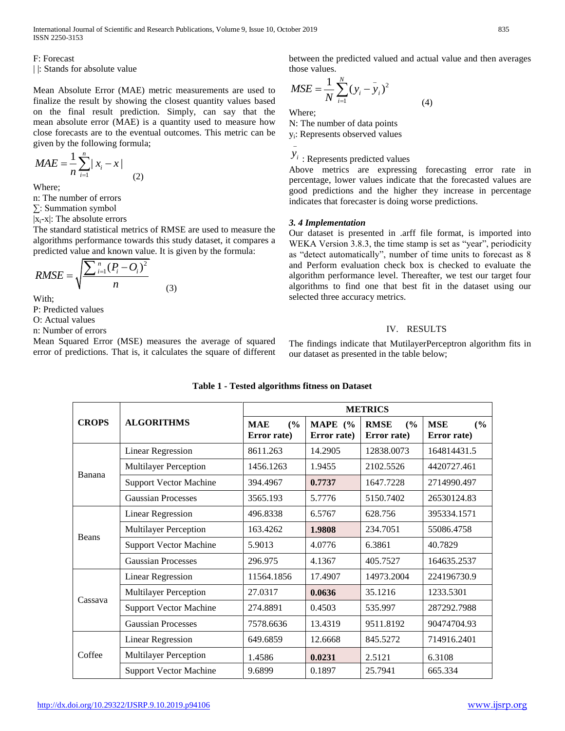F: Forecast

| |: Stands for absolute value

Mean Absolute Error (MAE) metric measurements are used to finalize the result by showing the closest quantity values based on the final result prediction. Simply, can say that the mean absolute error (MAE) is a quantity used to measure how close forecasts are to the eventual outcomes. This metric can be given by the following formula;

$$
MAE = \frac{1}{n} \sum_{i=1}^{n} |x_i - x|
$$
 (2)

Where;

n: The number of errors

∑: Summation symbol

 $|x_i-x|$ : The absolute errors

The standard statistical metrics of RMSE are used to measure the algorithms performance towards this study dataset, it compares a predicted value and known value. It is given by the formula:

$$
RMSE = \sqrt{\frac{\sum_{i=1}^{n} (P_i - O_i)^2}{n}}
$$
 (3)

With;

P: Predicted values

O: Actual values

n: Number of errors

Mean Squared Error (MSE) measures the average of squared error of predictions. That is, it calculates the square of different between the predicted valued and actual value and then averages those values.

$$
MSE = \frac{1}{N} \sum_{i=1}^{N} (y_i - y_i)^2
$$
 (4)

Where;

\_

N: The number of data points

yi : Represents observed values

 $y_i$  : Represents predicted values

Above metrics are expressing forecasting error rate in percentage, lower values indicate that the forecasted values are good predictions and the higher they increase in percentage indicates that forecaster is doing worse predictions.

#### *3. 4 Implementation*

Our dataset is presented in .arff file format, is imported into WEKA Version 3.8.3, the time stamp is set as "year", periodicity as "detect automatically", number of time units to forecast as 8 and Perform evaluation check box is checked to evaluate the algorithm performance level. Thereafter, we test our target four algorithms to find one that best fit in the dataset using our selected three accuracy metrics.

## IV. RESULTS

The findings indicate that MutilayerPerceptron algorithm fits in our dataset as presented in the table below;

|              |                               | <b>METRICS</b>                   |                          |                                   |                                  |  |  |
|--------------|-------------------------------|----------------------------------|--------------------------|-----------------------------------|----------------------------------|--|--|
| <b>CROPS</b> | <b>ALGORITHMS</b>             | <b>MAE</b><br>(%)<br>Error rate) | MAPE $(%$<br>Error rate) | <b>RMSE</b><br>(%)<br>Error rate) | <b>MSE</b><br>(%)<br>Error rate) |  |  |
| Banana       | <b>Linear Regression</b>      | 8611.263                         | 14.2905                  | 12838.0073                        | 164814431.5                      |  |  |
|              | <b>Multilayer Perception</b>  | 1456.1263                        | 1.9455<br>2102.5526      |                                   | 4420727.461                      |  |  |
|              | <b>Support Vector Machine</b> | 394.4967                         | 0.7737                   | 1647.7228                         | 2714990.497                      |  |  |
|              | <b>Gaussian Processes</b>     | 3565.193                         | 5.7776                   | 5150.7402                         | 26530124.83                      |  |  |
| <b>Beans</b> | <b>Linear Regression</b>      | 496.8338                         | 6.5767                   | 628.756                           | 395334.1571                      |  |  |
|              | <b>Multilayer Perception</b>  | 163.4262                         | 1.9808                   | 234.7051                          | 55086.4758                       |  |  |
|              | <b>Support Vector Machine</b> | 5.9013                           | 4.0776                   | 6.3861                            | 40.7829                          |  |  |
|              | <b>Gaussian Processes</b>     | 296.975                          | 4.1367                   | 405.7527                          | 164635.2537                      |  |  |
| Cassava      | <b>Linear Regression</b>      | 11564.1856                       | 17.4907                  | 14973.2004                        | 224196730.9                      |  |  |
|              | <b>Multilayer Perception</b>  | 27.0317                          | 0.0636                   | 35.1216                           | 1233.5301                        |  |  |
|              | <b>Support Vector Machine</b> | 274.8891                         | 0.4503                   | 535.997                           | 287292.7988                      |  |  |
|              | <b>Gaussian Processes</b>     | 7578.6636                        | 13.4319                  | 9511.8192                         | 90474704.93                      |  |  |
| Coffee       | <b>Linear Regression</b>      | 649.6859                         | 12.6668                  | 845.5272                          | 714916.2401                      |  |  |
|              | <b>Multilayer Perception</b>  | 1.4586                           | 2.5121<br>0.0231         |                                   | 6.3108                           |  |  |
|              | <b>Support Vector Machine</b> | 9.6899<br>0.1897<br>25.7941      |                          |                                   | 665.334                          |  |  |

# **Table 1 - Tested algorithms fitness on Dataset**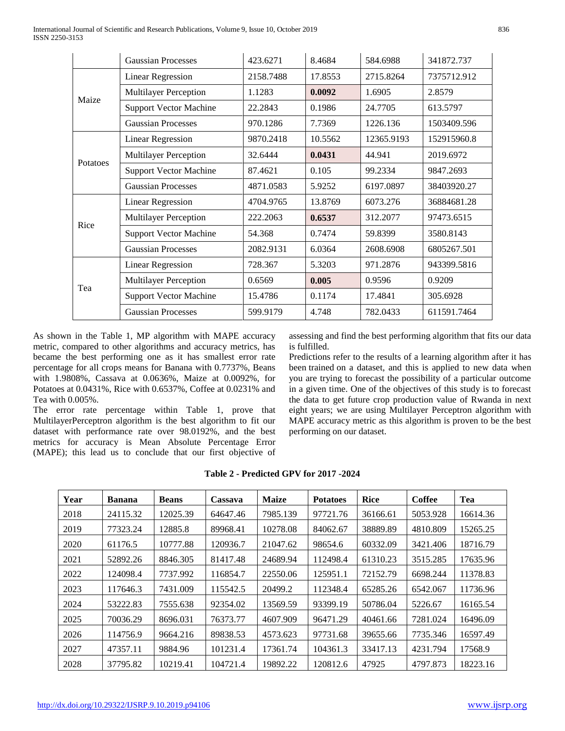|          | <b>Gaussian Processes</b>     | 423.6271  | 8.4684  | 584.6988   | 341872.737  |
|----------|-------------------------------|-----------|---------|------------|-------------|
| Maize    | <b>Linear Regression</b>      | 2158.7488 | 17.8553 | 2715.8264  | 7375712.912 |
|          | <b>Multilayer Perception</b>  | 1.1283    | 0.0092  | 1.6905     | 2.8579      |
|          | <b>Support Vector Machine</b> | 22.2843   | 0.1986  | 24.7705    | 613.5797    |
|          | <b>Gaussian Processes</b>     | 970.1286  | 7.7369  | 1226.136   | 1503409.596 |
| Potatoes | <b>Linear Regression</b>      | 9870.2418 | 10.5562 | 12365.9193 | 152915960.8 |
|          | <b>Multilayer Perception</b>  | 32.6444   | 0.0431  | 44.941     | 2019.6972   |
|          | <b>Support Vector Machine</b> | 87.4621   | 0.105   | 99.2334    | 9847.2693   |
|          | <b>Gaussian Processes</b>     | 4871.0583 | 5.9252  | 6197.0897  | 38403920.27 |
| Rice     | <b>Linear Regression</b>      | 4704.9765 | 13.8769 | 6073.276   | 36884681.28 |
|          | <b>Multilayer Perception</b>  | 222.2063  | 0.6537  | 312.2077   | 97473.6515  |
|          | <b>Support Vector Machine</b> | 54.368    | 0.7474  | 59.8399    | 3580.8143   |
|          | <b>Gaussian Processes</b>     | 2082.9131 | 6.0364  | 2608.6908  | 6805267.501 |
| Tea      | <b>Linear Regression</b>      | 728.367   | 5.3203  | 971.2876   | 943399.5816 |
|          | <b>Multilayer Perception</b>  | 0.6569    | 0.005   | 0.9596     | 0.9209      |
|          | <b>Support Vector Machine</b> | 15.4786   | 0.1174  | 17.4841    | 305.6928    |
|          | <b>Gaussian Processes</b>     | 599.9179  | 4.748   | 782.0433   | 611591.7464 |

As shown in the Table 1, MP algorithm with MAPE accuracy metric, compared to other algorithms and accuracy metrics, has became the best performing one as it has smallest error rate percentage for all crops means for Banana with 0.7737%, Beans with 1.9808%, Cassava at 0.0636%, Maize at 0.0092%, for Potatoes at 0.0431%, Rice with 0.6537%, Coffee at 0.0231% and Tea with 0.005%.

The error rate percentage within Table 1, prove that MultilayerPerceptron algorithm is the best algorithm to fit our dataset with performance rate over 98.0192%, and the best metrics for accuracy is Mean Absolute Percentage Error (MAPE); this lead us to conclude that our first objective of assessing and find the best performing algorithm that fits our data is fulfilled.

Predictions refer to the results of a learning algorithm after it has been trained on a dataset, and this is applied to new data when you are trying to forecast the possibility of a particular outcome in a given time. One of the objectives of this study is to forecast the data to get future crop production value of Rwanda in next eight years; we are using Multilayer Perceptron algorithm with MAPE accuracy metric as this algorithm is proven to be the best performing on our dataset.

| Year | <b>Banana</b> | <b>Beans</b> | Cassava  | <b>Maize</b> | <b>Potatoes</b> | <b>Rice</b> | <b>Coffee</b> | Tea      |
|------|---------------|--------------|----------|--------------|-----------------|-------------|---------------|----------|
| 2018 | 24115.32      | 12025.39     | 64647.46 | 7985.139     | 97721.76        | 36166.61    | 5053.928      | 16614.36 |
| 2019 | 77323.24      | 12885.8      | 89968.41 | 10278.08     | 84062.67        | 38889.89    | 4810.809      | 15265.25 |
| 2020 | 61176.5       | 10777.88     | 120936.7 | 21047.62     | 98654.6         | 60332.09    | 3421.406      | 18716.79 |
| 2021 | 52892.26      | 8846.305     | 81417.48 | 24689.94     | 112498.4        | 61310.23    | 3515.285      | 17635.96 |
| 2022 | 124098.4      | 7737.992     | 116854.7 | 22550.06     | 125951.1        | 72152.79    | 6698.244      | 11378.83 |
| 2023 | 117646.3      | 7431.009     | 115542.5 | 20499.2      | 112348.4        | 65285.26    | 6542.067      | 11736.96 |
| 2024 | 53222.83      | 7555.638     | 92354.02 | 13569.59     | 93399.19        | 50786.04    | 5226.67       | 16165.54 |
| 2025 | 70036.29      | 8696.031     | 76373.77 | 4607.909     | 96471.29        | 40461.66    | 7281.024      | 16496.09 |
| 2026 | 114756.9      | 9664.216     | 89838.53 | 4573.623     | 97731.68        | 39655.66    | 7735.346      | 16597.49 |
| 2027 | 47357.11      | 9884.96      | 101231.4 | 17361.74     | 104361.3        | 33417.13    | 4231.794      | 17568.9  |
| 2028 | 37795.82      | 10219.41     | 104721.4 | 19892.22     | 120812.6        | 47925       | 4797.873      | 18223.16 |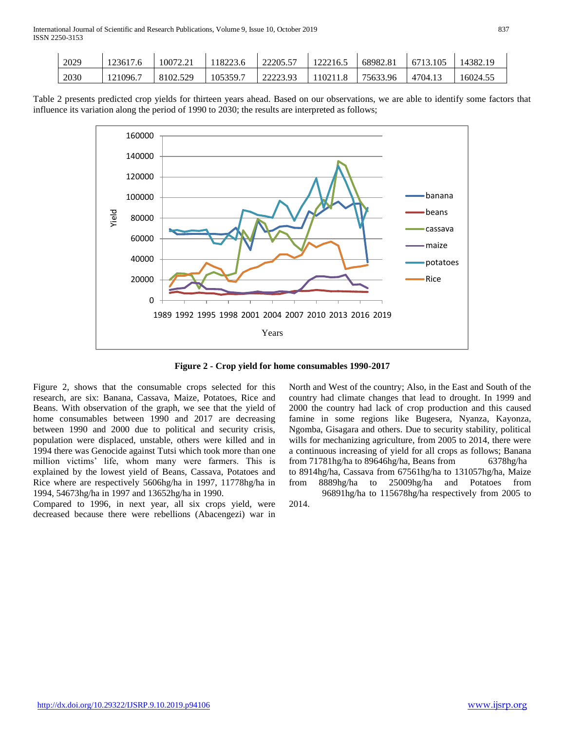| 2029 | 123617.6 | 10072.21 | 118223.6 | 22205.57 | 122216.5 | 68982.81 | 6713.105 | 14382.19 |
|------|----------|----------|----------|----------|----------|----------|----------|----------|
| 2030 | 121096.7 | 8102.529 | 105359.7 | 22223.93 | 110211.8 | 75633.96 | 4704.13  | 16024.55 |

Table 2 presents predicted crop yields for thirteen years ahead. Based on our observations, we are able to identify some factors that influence its variation along the period of 1990 to 2030; the results are interpreted as follows;



**Figure 2 - Crop yield for home consumables 1990-2017**

Figure 2, shows that the consumable crops selected for this research, are six: Banana, Cassava, Maize, Potatoes, Rice and Beans. With observation of the graph, we see that the yield of home consumables between 1990 and 2017 are decreasing between 1990 and 2000 due to political and security crisis, population were displaced, unstable, others were killed and in 1994 there was Genocide against Tutsi which took more than one million victims' life, whom many were farmers. This is explained by the lowest yield of Beans, Cassava, Potatoes and Rice where are respectively 5606hg/ha in 1997, 11778hg/ha in 1994, 54673hg/ha in 1997 and 13652hg/ha in 1990.

Compared to 1996, in next year, all six crops yield, were decreased because there were rebellions (Abacengezi) war in

North and West of the country; Also, in the East and South of the country had climate changes that lead to drought. In 1999 and 2000 the country had lack of crop production and this caused famine in some regions like Bugesera, Nyanza, Kayonza, Ngomba, Gisagara and others. Due to security stability, political wills for mechanizing agriculture, from 2005 to 2014, there were a continuous increasing of yield for all crops as follows; Banana from 71781hg/ha to 89646hg/ha, Beans from 6378hg/ha to 8914hg/ha, Cassava from 67561hg/ha to 131057hg/ha, Maize from 8889hg/ha to 25009hg/ha and Potatoes from 96891hg/ha to 115678hg/ha respectively from 2005 to 2014.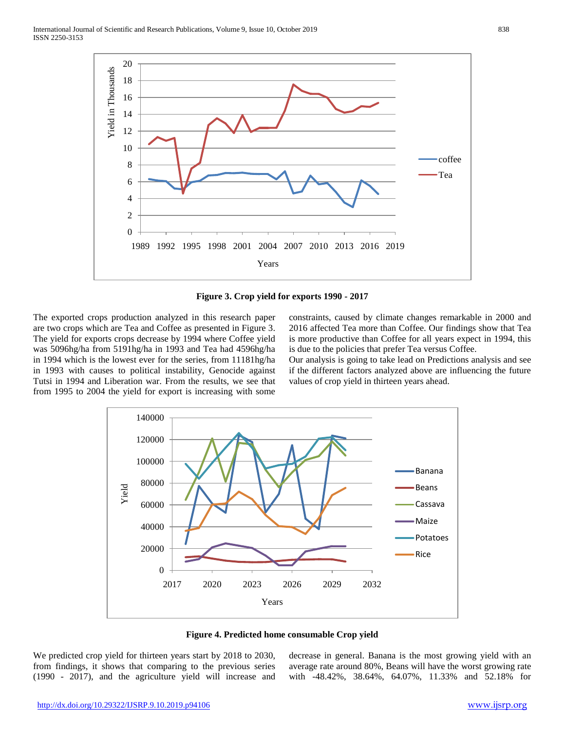

**Figure 3. Crop yield for exports 1990 - 2017**

The exported crops production analyzed in this research paper are two crops which are Tea and Coffee as presented in Figure 3. The yield for exports crops decrease by 1994 where Coffee yield was 5096hg/ha from 5191hg/ha in 1993 and Tea had 4596hg/ha in 1994 which is the lowest ever for the series, from 11181hg/ha in 1993 with causes to political instability, Genocide against Tutsi in 1994 and Liberation war. From the results, we see that from 1995 to 2004 the yield for export is increasing with some

constraints, caused by climate changes remarkable in 2000 and 2016 affected Tea more than Coffee. Our findings show that Tea is more productive than Coffee for all years expect in 1994, this is due to the policies that prefer Tea versus Coffee.

Our analysis is going to take lead on Predictions analysis and see if the different factors analyzed above are influencing the future values of crop yield in thirteen years ahead.





We predicted crop yield for thirteen years start by 2018 to 2030, from findings, it shows that comparing to the previous series (1990 - 2017), and the agriculture yield will increase and decrease in general. Banana is the most growing yield with an average rate around 80%, Beans will have the worst growing rate with -48.42%, 38.64%, 64.07%, 11.33% and 52.18% for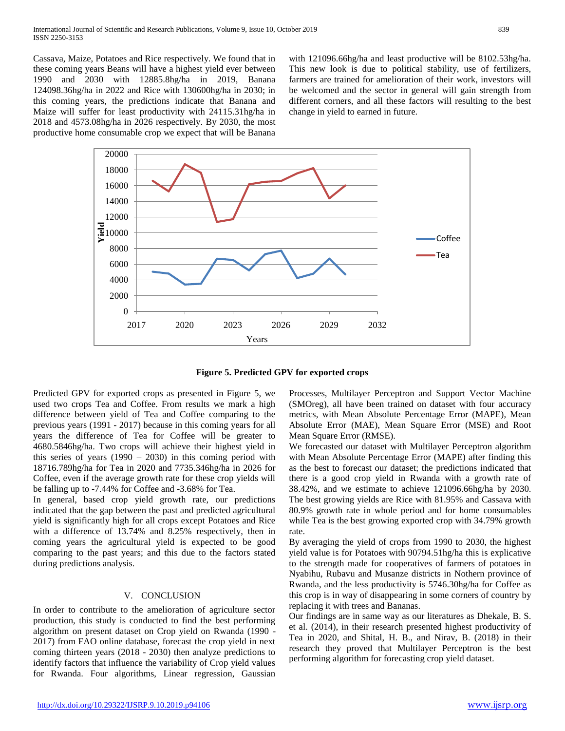Cassava, Maize, Potatoes and Rice respectively. We found that in these coming years Beans will have a highest yield ever between 1990 and 2030 with 12885.8hg/ha in 2019, Banana 124098.36hg/ha in 2022 and Rice with 130600hg/ha in 2030; in this coming years, the predictions indicate that Banana and Maize will suffer for least productivity with 24115.31hg/ha in 2018 and 4573.08hg/ha in 2026 respectively. By 2030, the most productive home consumable crop we expect that will be Banana

with 121096.66hg/ha and least productive will be 8102.53hg/ha. This new look is due to political stability, use of fertilizers, farmers are trained for amelioration of their work, investors will be welcomed and the sector in general will gain strength from different corners, and all these factors will resulting to the best change in yield to earned in future.



**Figure 5. Predicted GPV for exported crops**

Predicted GPV for exported crops as presented in Figure 5, we used two crops Tea and Coffee. From results we mark a high difference between yield of Tea and Coffee comparing to the previous years (1991 - 2017) because in this coming years for all years the difference of Tea for Coffee will be greater to 4680.5846hg/ha. Two crops will achieve their highest yield in this series of years  $(1990 - 2030)$  in this coming period with 18716.789hg/ha for Tea in 2020 and 7735.346hg/ha in 2026 for Coffee, even if the average growth rate for these crop yields will be falling up to -7.44% for Coffee and -3.68% for Tea.

In general, based crop yield growth rate, our predictions indicated that the gap between the past and predicted agricultural yield is significantly high for all crops except Potatoes and Rice with a difference of 13.74% and 8.25% respectively, then in coming years the agricultural yield is expected to be good comparing to the past years; and this due to the factors stated during predictions analysis.

#### V. CONCLUSION

In order to contribute to the amelioration of agriculture sector production, this study is conducted to find the best performing algorithm on present dataset on Crop yield on Rwanda (1990 - 2017) from FAO online database, forecast the crop yield in next coming thirteen years (2018 - 2030) then analyze predictions to identify factors that influence the variability of Crop yield values for Rwanda. Four algorithms, Linear regression, Gaussian

Processes, Multilayer Perceptron and Support Vector Machine (SMOreg), all have been trained on dataset with four accuracy metrics, with Mean Absolute Percentage Error (MAPE), Mean Absolute Error (MAE), Mean Square Error (MSE) and Root Mean Square Error (RMSE).

We forecasted our dataset with Multilayer Perceptron algorithm with Mean Absolute Percentage Error (MAPE) after finding this as the best to forecast our dataset; the predictions indicated that there is a good crop yield in Rwanda with a growth rate of 38.42%, and we estimate to achieve 121096.66hg/ha by 2030. The best growing yields are Rice with 81.95% and Cassava with 80.9% growth rate in whole period and for home consumables while Tea is the best growing exported crop with 34.79% growth rate.

By averaging the yield of crops from 1990 to 2030, the highest yield value is for Potatoes with 90794.51hg/ha this is explicative to the strength made for cooperatives of farmers of potatoes in Nyabihu, Rubavu and Musanze districts in Nothern province of Rwanda, and the less productivity is 5746.30hg/ha for Coffee as this crop is in way of disappearing in some corners of country by replacing it with trees and Bananas.

Our findings are in same way as our literatures as Dhekale, B. S. et al. (2014), in their research presented highest productivity of Tea in 2020, and Shital, H. B., and Nirav, B. (2018) in their research they proved that Multilayer Perceptron is the best performing algorithm for forecasting crop yield dataset.